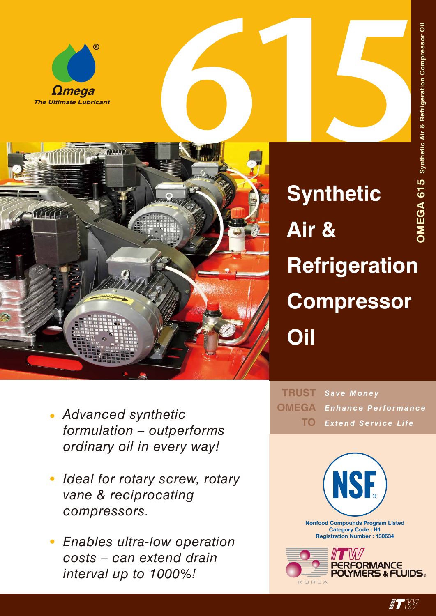





**Synthetic Air & Refrigeration Compressor Oil**

- *• Advanced synthetic formulation – outperforms ordinary oil in every way!*
- *• Ideal for rotary screw, rotary vane & reciprocating compressors.*
- *• Enables ultra-low operation costs – can extend drain interval up to 1000%!*

*Save Money Enhance Performance Extend Service Life* **TRUST OMEGA TO**